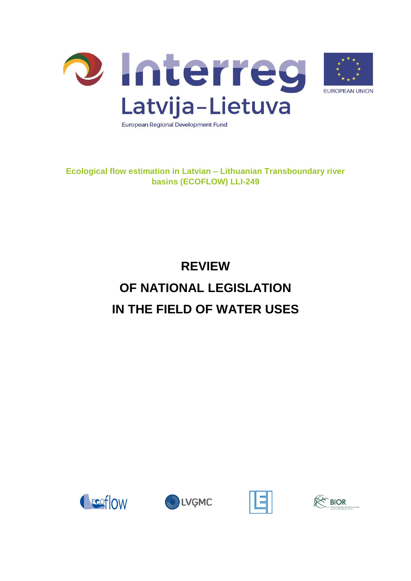



**Ecological flow estimation in Latvian – Lithuanian Transboundary river basins (ECOFLOW) LLI-249**

# **REVIEW OF NATIONAL LEGISLATION IN THE FIELD OF WATER USES**







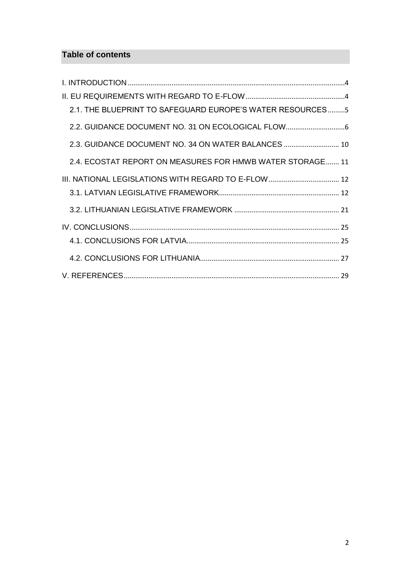## **Table of contents**

| 2.1. THE BLUEPRINT TO SAFEGUARD EUROPE'S WATER RESOURCES5 |  |
|-----------------------------------------------------------|--|
| 2.2. GUIDANCE DOCUMENT NO. 31 ON ECOLOGICAL FLOW          |  |
| 2.3. GUIDANCE DOCUMENT NO. 34 ON WATER BALANCES  10       |  |
| 2.4. ECOSTAT REPORT ON MEASURES FOR HMWB WATER STORAGE 11 |  |
|                                                           |  |
|                                                           |  |
|                                                           |  |
|                                                           |  |
|                                                           |  |
|                                                           |  |
|                                                           |  |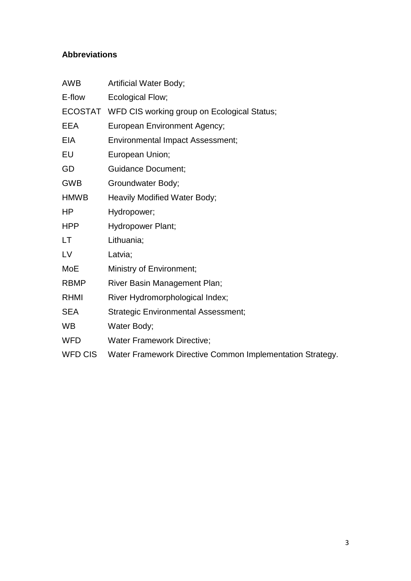## **Abbreviations**

| <b>AWB</b>     | <b>Artificial Water Body;</b>                             |  |  |
|----------------|-----------------------------------------------------------|--|--|
| E-flow         | Ecological Flow;                                          |  |  |
|                | ECOSTAT WFD CIS working group on Ecological Status;       |  |  |
| EEA            | <b>European Environment Agency;</b>                       |  |  |
| EIA            | <b>Environmental Impact Assessment;</b>                   |  |  |
| EU             | European Union;                                           |  |  |
| GD             | <b>Guidance Document;</b>                                 |  |  |
| <b>GWB</b>     | Groundwater Body;                                         |  |  |
| <b>HMWB</b>    | Heavily Modified Water Body;                              |  |  |
| HP             | Hydropower;                                               |  |  |
| <b>HPP</b>     | Hydropower Plant;                                         |  |  |
| LT             | Lithuania;                                                |  |  |
| LV             | Latvia;                                                   |  |  |
| <b>MoE</b>     | Ministry of Environment;                                  |  |  |
| <b>RBMP</b>    | River Basin Management Plan;                              |  |  |
| <b>RHMI</b>    | River Hydromorphological Index;                           |  |  |
| <b>SEA</b>     | <b>Strategic Environmental Assessment;</b>                |  |  |
| <b>WB</b>      | Water Body;                                               |  |  |
| <b>WFD</b>     | <b>Water Framework Directive;</b>                         |  |  |
| <b>WFD CIS</b> | Water Framework Directive Common Implementation Strategy. |  |  |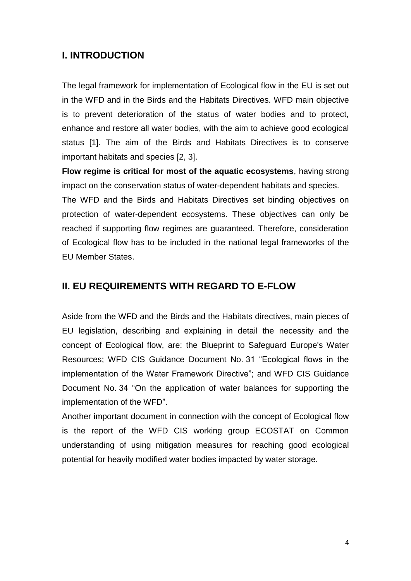## <span id="page-3-0"></span>**I. INTRODUCTION**

The legal framework for implementation of Ecological flow in the EU is set out in the WFD and in the Birds and the Habitats Directives. WFD main objective is to prevent deterioration of the status of water bodies and to protect, enhance and restore all water bodies, with the aim to achieve good ecological status [1]. The aim of the Birds and Habitats Directives is to conserve important habitats and species [2, 3].

**Flow regime is critical for most of the aquatic ecosystems**, having strong impact on the conservation status of water-dependent habitats and species.

The WFD and the Birds and Habitats Directives set binding objectives on protection of water-dependent ecosystems. These objectives can only be reached if supporting flow regimes are guaranteed. Therefore, consideration of Ecological flow has to be included in the national legal frameworks of the EU Member States.

#### <span id="page-3-1"></span>**II. EU REQUIREMENTS WITH REGARD TO E-FLOW**

Aside from the WFD and the Birds and the Habitats directives, main pieces of EU legislation, describing and explaining in detail the necessity and the concept of Ecological flow, are: the Blueprint to Safeguard Europe's Water Resources; WFD CIS Guidance Document No. 31 "Ecological flows in the implementation of the Water Framework Directive"; and WFD CIS Guidance Document No. 34 "On the application of water balances for supporting the implementation of the WFD".

Another important document in connection with the concept of Ecological flow is the report of the WFD CIS working group ECOSTAT on Common understanding of using mitigation measures for reaching good ecological potential for heavily modified water bodies impacted by water storage.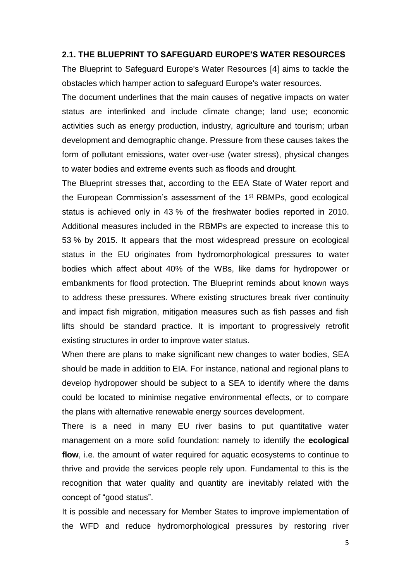#### <span id="page-4-0"></span>**2.1. THE BLUEPRINT TO SAFEGUARD EUROPE'S WATER RESOURCES**

The Blueprint to Safeguard Europe's Water Resources [4] aims to tackle the obstacles which hamper action to safeguard Europe's water resources.

The document underlines that the main causes of negative impacts on water status are interlinked and include climate change; land use; economic activities such as energy production, industry, agriculture and tourism; urban development and demographic change. Pressure from these causes takes the form of pollutant emissions, water over-use (water stress), physical changes to water bodies and extreme events such as floods and drought.

The Blueprint stresses that, according to the EEA State of Water report and the European Commission's assessment of the 1<sup>st</sup> RBMPs, good ecological status is achieved only in 43 % of the freshwater bodies reported in 2010. Additional measures included in the RBMPs are expected to increase this to 53 % by 2015. It appears that the most widespread pressure on ecological status in the EU originates from hydromorphological pressures to water bodies which affect about 40% of the WBs, like dams for hydropower or embankments for flood protection. The Blueprint reminds about known ways to address these pressures. Where existing structures break river continuity and impact fish migration, mitigation measures such as fish passes and fish lifts should be standard practice. It is important to progressively retrofit existing structures in order to improve water status.

When there are plans to make significant new changes to water bodies, SEA should be made in addition to EIA. For instance, national and regional plans to develop hydropower should be subject to a SEA to identify where the dams could be located to minimise negative environmental effects, or to compare the plans with alternative renewable energy sources development.

There is a need in many EU river basins to put quantitative water management on a more solid foundation: namely to identify the **ecological flow**, i.e. the amount of water required for aquatic ecosystems to continue to thrive and provide the services people rely upon. Fundamental to this is the recognition that water quality and quantity are inevitably related with the concept of "good status".

It is possible and necessary for Member States to improve implementation of the WFD and reduce hydromorphological pressures by restoring river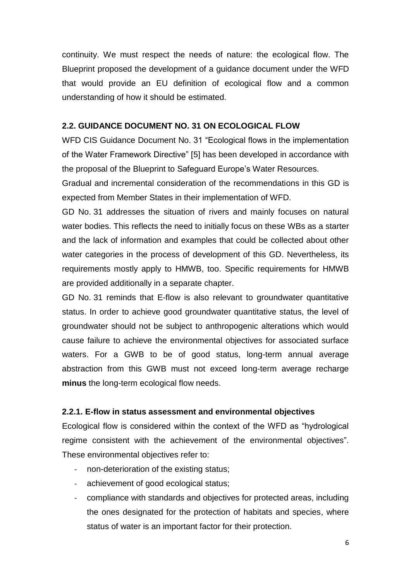continuity. We must respect the needs of nature: the ecological flow. The Blueprint proposed the development of a guidance document under the WFD that would provide an EU definition of ecological flow and a common understanding of how it should be estimated.

#### <span id="page-5-0"></span>**2.2. GUIDANCE DOCUMENT NO. 31 ON ECOLOGICAL FLOW**

WFD CIS Guidance Document No. 31 "Ecological flows in the implementation of the Water Framework Directive" [5] has been developed in accordance with the proposal of the Blueprint to Safeguard Europe's Water Resources.

Gradual and incremental consideration of the recommendations in this GD is expected from Member States in their implementation of WFD.

GD No. 31 addresses the situation of rivers and mainly focuses on natural water bodies. This reflects the need to initially focus on these WBs as a starter and the lack of information and examples that could be collected about other water categories in the process of development of this GD. Nevertheless, its requirements mostly apply to HMWB, too. Specific requirements for HMWB are provided additionally in a separate chapter.

GD No. 31 reminds that E-flow is also relevant to groundwater quantitative status. In order to achieve good groundwater quantitative status, the level of groundwater should not be subject to anthropogenic alterations which would cause failure to achieve the environmental objectives for associated surface waters. For a GWB to be of good status, long-term annual average abstraction from this GWB must not exceed long-term average recharge **minus** the long-term ecological flow needs.

#### **2.2.1. E-flow in status assessment and environmental objectives**

Ecological flow is considered within the context of the WFD as "hydrological regime consistent with the achievement of the environmental objectives". These environmental objectives refer to:

- non-deterioration of the existing status;
- achievement of good ecological status;
- compliance with standards and objectives for protected areas, including the ones designated for the protection of habitats and species, where status of water is an important factor for their protection.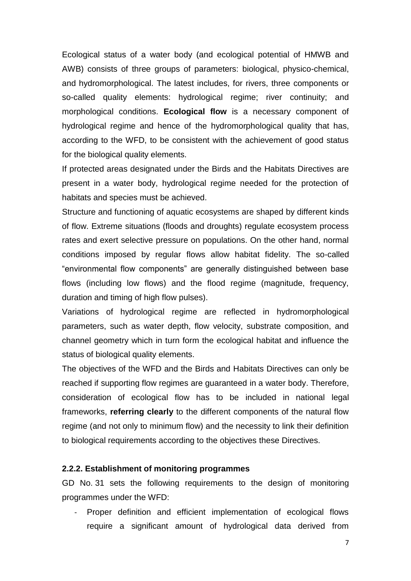Ecological status of a water body (and ecological potential of HMWB and AWB) consists of three groups of parameters: biological, physico-chemical, and hydromorphological. The latest includes, for rivers, three components or so-called quality elements: hydrological regime; river continuity; and morphological conditions. **Ecological flow** is a necessary component of hydrological regime and hence of the hydromorphological quality that has, according to the WFD, to be consistent with the achievement of good status for the biological quality elements.

If protected areas designated under the Birds and the Habitats Directives are present in a water body, hydrological regime needed for the protection of habitats and species must be achieved.

Structure and functioning of aquatic ecosystems are shaped by different kinds of flow. Extreme situations (floods and droughts) regulate ecosystem process rates and exert selective pressure on populations. On the other hand, normal conditions imposed by regular flows allow habitat fidelity. The so-called "environmental flow components" are generally distinguished between base flows (including low flows) and the flood regime (magnitude, frequency, duration and timing of high flow pulses).

Variations of hydrological regime are reflected in hydromorphological parameters, such as water depth, flow velocity, substrate composition, and channel geometry which in turn form the ecological habitat and influence the status of biological quality elements.

The objectives of the WFD and the Birds and Habitats Directives can only be reached if supporting flow regimes are guaranteed in a water body. Therefore, consideration of ecological flow has to be included in national legal frameworks, **referring clearly** to the different components of the natural flow regime (and not only to minimum flow) and the necessity to link their definition to biological requirements according to the objectives these Directives.

#### **2.2.2. Establishment of monitoring programmes**

GD No. 31 sets the following requirements to the design of monitoring programmes under the WFD:

Proper definition and efficient implementation of ecological flows require a significant amount of hydrological data derived from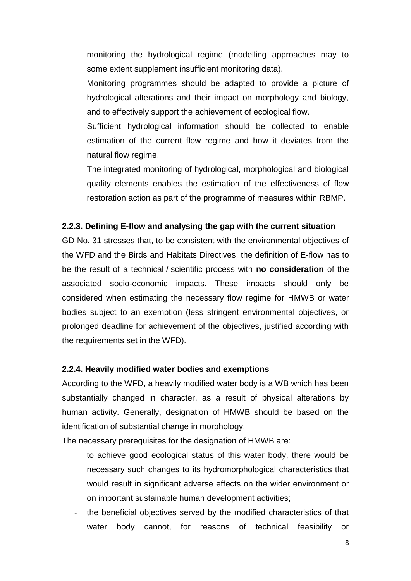monitoring the hydrological regime (modelling approaches may to some extent supplement insufficient monitoring data).

- Monitoring programmes should be adapted to provide a picture of hydrological alterations and their impact on morphology and biology, and to effectively support the achievement of ecological flow.
- Sufficient hydrological information should be collected to enable estimation of the current flow regime and how it deviates from the natural flow regime.
- The integrated monitoring of hydrological, morphological and biological quality elements enables the estimation of the effectiveness of flow restoration action as part of the programme of measures within RBMP.

#### **2.2.3. Defining E-flow and analysing the gap with the current situation**

GD No. 31 stresses that, to be consistent with the environmental objectives of the WFD and the Birds and Habitats Directives, the definition of E-flow has to be the result of a technical / scientific process with **no consideration** of the associated socio-economic impacts. These impacts should only be considered when estimating the necessary flow regime for HMWB or water bodies subject to an exemption (less stringent environmental objectives, or prolonged deadline for achievement of the objectives, justified according with the requirements set in the WFD).

#### **2.2.4. Heavily modified water bodies and exemptions**

According to the WFD, a heavily modified water body is a WB which has been substantially changed in character, as a result of physical alterations by human activity. Generally, designation of HMWB should be based on the identification of substantial change in morphology.

The necessary prerequisites for the designation of HMWB are:

- to achieve good ecological status of this water body, there would be necessary such changes to its hydromorphological characteristics that would result in significant adverse effects on the wider environment or on important sustainable human development activities;
- the beneficial objectives served by the modified characteristics of that water body cannot, for reasons of technical feasibility or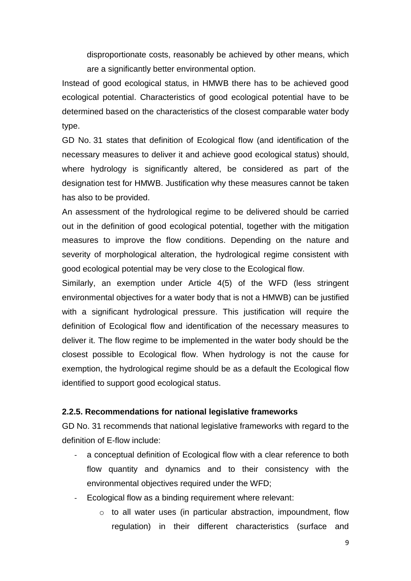disproportionate costs, reasonably be achieved by other means, which are a significantly better environmental option.

Instead of good ecological status, in HMWB there has to be achieved good ecological potential. Characteristics of good ecological potential have to be determined based on the characteristics of the closest comparable water body type.

GD No. 31 states that definition of Ecological flow (and identification of the necessary measures to deliver it and achieve good ecological status) should, where hydrology is significantly altered, be considered as part of the designation test for HMWB. Justification why these measures cannot be taken has also to be provided.

An assessment of the hydrological regime to be delivered should be carried out in the definition of good ecological potential, together with the mitigation measures to improve the flow conditions. Depending on the nature and severity of morphological alteration, the hydrological regime consistent with good ecological potential may be very close to the Ecological flow.

Similarly, an exemption under Article 4(5) of the WFD (less stringent environmental objectives for a water body that is not a HMWB) can be justified with a significant hydrological pressure. This justification will require the definition of Ecological flow and identification of the necessary measures to deliver it. The flow regime to be implemented in the water body should be the closest possible to Ecological flow. When hydrology is not the cause for exemption, the hydrological regime should be as a default the Ecological flow identified to support good ecological status.

#### **2.2.5. Recommendations for national legislative frameworks**

GD No. 31 recommends that national legislative frameworks with regard to the definition of E-flow include:

- a conceptual definition of Ecological flow with a clear reference to both flow quantity and dynamics and to their consistency with the environmental objectives required under the WFD;
- Ecological flow as a binding requirement where relevant:
	- o to all water uses (in particular abstraction, impoundment, flow regulation) in their different characteristics (surface and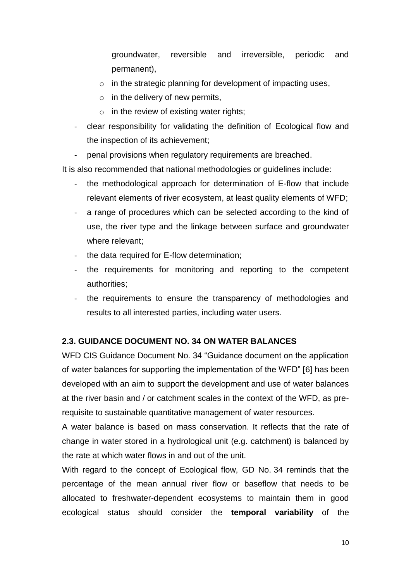groundwater, reversible and irreversible, periodic and permanent),

- o in the strategic planning for development of impacting uses,
- $\circ$  in the delivery of new permits,
- $\circ$  in the review of existing water rights;
- clear responsibility for validating the definition of Ecological flow and the inspection of its achievement;
- penal provisions when regulatory requirements are breached.

It is also recommended that national methodologies or guidelines include:

- the methodological approach for determination of E-flow that include relevant elements of river ecosystem, at least quality elements of WFD;
- a range of procedures which can be selected according to the kind of use, the river type and the linkage between surface and groundwater where relevant;
- the data required for E-flow determination;
- the requirements for monitoring and reporting to the competent authorities;
- the requirements to ensure the transparency of methodologies and results to all interested parties, including water users.

## <span id="page-9-0"></span>**2.3. GUIDANCE DOCUMENT NO. 34 ON WATER BALANCES**

WFD CIS Guidance Document No. 34 "Guidance document on the application of water balances for supporting the implementation of the WFD" [6] has been developed with an aim to support the development and use of water balances at the river basin and / or catchment scales in the context of the WFD, as prerequisite to sustainable quantitative management of water resources.

A water balance is based on mass conservation. It reflects that the rate of change in water stored in a hydrological unit (e.g. catchment) is balanced by the rate at which water flows in and out of the unit.

With regard to the concept of Ecological flow, GD No. 34 reminds that the percentage of the mean annual river flow or baseflow that needs to be allocated to freshwater-dependent ecosystems to maintain them in good ecological status should consider the **temporal variability** of the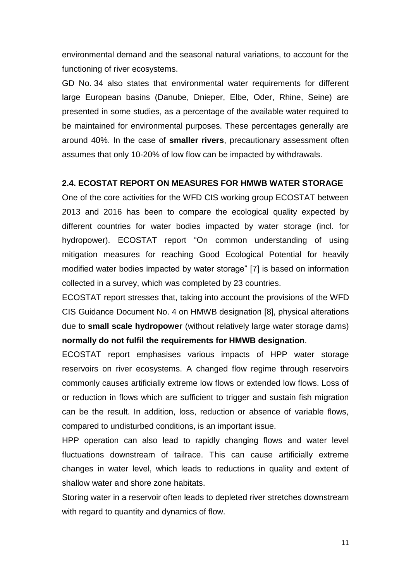environmental demand and the seasonal natural variations, to account for the functioning of river ecosystems.

GD No. 34 also states that environmental water requirements for different large European basins (Danube, Dnieper, Elbe, Oder, Rhine, Seine) are presented in some studies, as a percentage of the available water required to be maintained for environmental purposes. These percentages generally are around 40%. In the case of **smaller rivers**, precautionary assessment often assumes that only 10-20% of low flow can be impacted by withdrawals.

#### <span id="page-10-0"></span>**2.4. ECOSTAT REPORT ON MEASURES FOR HMWB WATER STORAGE**

One of the core activities for the WFD CIS working group ECOSTAT between 2013 and 2016 has been to compare the ecological quality expected by different countries for water bodies impacted by water storage (incl. for hydropower). ECOSTAT report "On common understanding of using mitigation measures for reaching Good Ecological Potential for heavily modified water bodies impacted by water storage" [7] is based on information collected in a survey, which was completed by 23 countries.

ECOSTAT report stresses that, taking into account the provisions of the WFD CIS Guidance Document No. 4 on HMWB designation [8], physical alterations due to **small scale hydropower** (without relatively large water storage dams) **normally do not fulfil the requirements for HMWB designation**.

ECOSTAT report emphasises various impacts of HPP water storage reservoirs on river ecosystems. A changed flow regime through reservoirs commonly causes artificially extreme low flows or extended low flows. Loss of or reduction in flows which are sufficient to trigger and sustain fish migration can be the result. In addition, loss, reduction or absence of variable flows, compared to undisturbed conditions, is an important issue.

HPP operation can also lead to rapidly changing flows and water level fluctuations downstream of tailrace. This can cause artificially extreme changes in water level, which leads to reductions in quality and extent of shallow water and shore zone habitats.

Storing water in a reservoir often leads to depleted river stretches downstream with regard to quantity and dynamics of flow.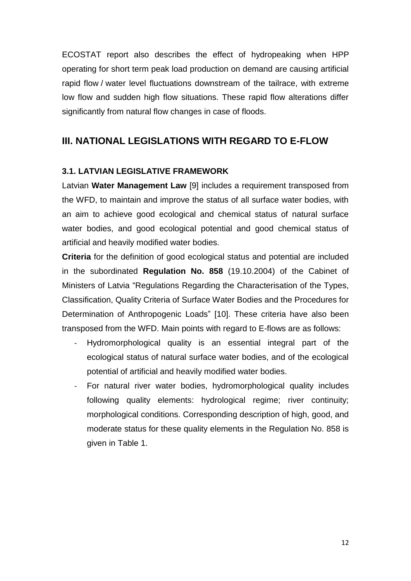ECOSTAT report also describes the effect of hydropeaking when HPP operating for short term peak load production on demand are causing artificial rapid flow / water level fluctuations downstream of the tailrace, with extreme low flow and sudden high flow situations. These rapid flow alterations differ significantly from natural flow changes in case of floods.

## <span id="page-11-0"></span>**III. NATIONAL LEGISLATIONS WITH REGARD TO E-FLOW**

#### <span id="page-11-1"></span>**3.1. LATVIAN LEGISLATIVE FRAMEWORK**

Latvian **Water Management Law** [9] includes a requirement transposed from the WFD, to maintain and improve the status of all surface water bodies, with an aim to achieve good ecological and chemical status of natural surface water bodies, and good ecological potential and good chemical status of artificial and heavily modified water bodies.

**Criteria** for the definition of good ecological status and potential are included in the subordinated **Regulation No. 858** (19.10.2004) of the Cabinet of Ministers of Latvia "Regulations Regarding the Characterisation of the Types, Classification, Quality Criteria of Surface Water Bodies and the Procedures for Determination of Anthropogenic Loads" [10]. These criteria have also been transposed from the WFD. Main points with regard to E-flows are as follows:

- Hydromorphological quality is an essential integral part of the ecological status of natural surface water bodies, and of the ecological potential of artificial and heavily modified water bodies.
- For natural river water bodies, hydromorphological quality includes following quality elements: hydrological regime; river continuity; morphological conditions. Corresponding description of high, good, and moderate status for these quality elements in the Regulation No. 858 is given in Table 1.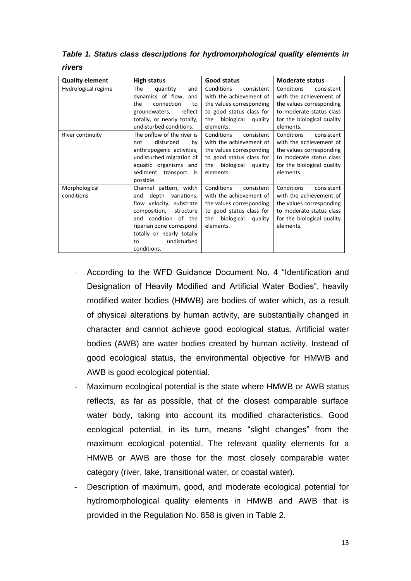*Table 1. Status class descriptions for hydromorphological quality elements in rivers*

| <b>Quality element</b>      | High status                                                                                                                                                                                                                         | Good status                                                                                                                                              | <b>Moderate status</b>                                                                                                                                 |
|-----------------------------|-------------------------------------------------------------------------------------------------------------------------------------------------------------------------------------------------------------------------------------|----------------------------------------------------------------------------------------------------------------------------------------------------------|--------------------------------------------------------------------------------------------------------------------------------------------------------|
| Hydrological regime         | The<br>quantity<br>and<br>dynamics of flow, and<br>the<br>connection<br>to<br>reflect<br>groundwaters,<br>totally, or nearly totally,<br>undisturbed conditions.                                                                    | Conditions<br>consistent<br>with the achievement of<br>the values corresponding<br>to good status class for<br>biological<br>the<br>quality<br>elements. | Conditions<br>consistent<br>with the achievement of<br>the values corresponding<br>to moderate status class<br>for the biological quality<br>elements. |
| River continuity            | The onflow of the river is<br>disturbed<br>bv<br>not<br>anthropogenic activities,<br>undisturbed migration of<br>aquatic organisms and<br>sediment transport<br>is i<br>possible.                                                   | Conditions<br>consistent<br>with the achievement of<br>the values corresponding<br>to good status class for<br>the biological<br>quality<br>elements.    | Conditions<br>consistent<br>with the achievement of<br>the values corresponding<br>to moderate status class<br>for the biological quality<br>elements. |
| Morphological<br>conditions | Channel pattern, width<br>depth<br>variations,<br>and<br>flow velocity, substrate<br>composition,<br>structure<br>and condition of the<br>riparian zone correspond<br>totally or nearly totally<br>undisturbed<br>to<br>conditions. | Conditions<br>consistent<br>with the achievement of<br>the values corresponding<br>to good status class for<br>biological<br>the<br>quality<br>elements. | Conditions<br>consistent<br>with the achievement of<br>the values corresponding<br>to moderate status class<br>for the biological quality<br>elements. |

- According to the WFD Guidance Document No. 4 "Identification and Designation of Heavily Modified and Artificial Water Bodies", heavily modified water bodies (HMWB) are bodies of water which, as a result of physical alterations by human activity, are substantially changed in character and cannot achieve good ecological status. Artificial water bodies (AWB) are water bodies created by human activity. Instead of good ecological status, the environmental objective for HMWB and AWB is good ecological potential.
- Maximum ecological potential is the state where HMWB or AWB status reflects, as far as possible, that of the closest comparable surface water body, taking into account its modified characteristics. Good ecological potential, in its turn, means "slight changes" from the maximum ecological potential. The relevant quality elements for a HMWB or AWB are those for the most closely comparable water category (river, lake, transitional water, or coastal water).
- Description of maximum, good, and moderate ecological potential for hydromorphological quality elements in HMWB and AWB that is provided in the Regulation No. 858 is given in Table 2.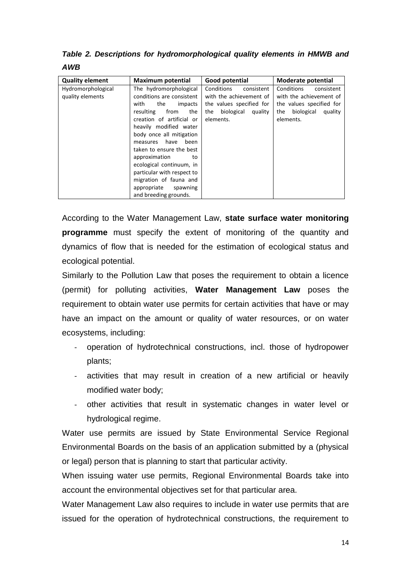*Table 2. Descriptions for hydromorphological quality elements in HMWB and AWB*

| <b>Quality element</b>                 | <b>Maximum potential</b>                                                                                                                                                                                                                                                                                                                                                                                            | Good potential                                                                                                               | Moderate potential                                                                                                           |
|----------------------------------------|---------------------------------------------------------------------------------------------------------------------------------------------------------------------------------------------------------------------------------------------------------------------------------------------------------------------------------------------------------------------------------------------------------------------|------------------------------------------------------------------------------------------------------------------------------|------------------------------------------------------------------------------------------------------------------------------|
| Hydromorphological<br>quality elements | The hydromorphological<br>conditions are consistent<br>with<br>the<br>impacts<br>from<br>resulting<br>the<br>creation of artificial or<br>heavily modified water<br>body once all mitigation<br>have<br>been<br>measures<br>taken to ensure the best<br>approximation<br>to<br>ecological continuum, in<br>particular with respect to<br>migration of fauna and<br>appropriate<br>spawning<br>and breeding grounds. | Conditions<br>consistent<br>with the achievement of<br>the values specified for<br>biological<br>the<br>quality<br>elements. | Conditions<br>consistent<br>with the achievement of<br>the values specified for<br>biological<br>the<br>quality<br>elements. |

According to the Water Management Law, **state surface water monitoring programme** must specify the extent of monitoring of the quantity and dynamics of flow that is needed for the estimation of ecological status and ecological potential.

Similarly to the Pollution Law that poses the requirement to obtain a licence (permit) for polluting activities, **Water Management Law** poses the requirement to obtain water use permits for certain activities that have or may have an impact on the amount or quality of water resources, or on water ecosystems, including:

- operation of hydrotechnical constructions, incl. those of hydropower plants;
- activities that may result in creation of a new artificial or heavily modified water body;
- other activities that result in systematic changes in water level or hydrological regime.

Water use permits are issued by State Environmental Service Regional Environmental Boards on the basis of an application submitted by a (physical or legal) person that is planning to start that particular activity.

When issuing water use permits, Regional Environmental Boards take into account the environmental objectives set for that particular area.

Water Management Law also requires to include in water use permits that are issued for the operation of hydrotechnical constructions, the requirement to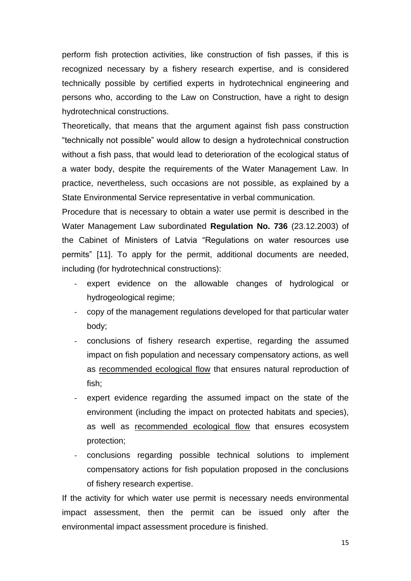perform fish protection activities, like construction of fish passes, if this is recognized necessary by a fishery research expertise, and is considered technically possible by certified experts in hydrotechnical engineering and persons who, according to the Law on Construction, have a right to design hydrotechnical constructions.

Theoretically, that means that the argument against fish pass construction "technically not possible" would allow to design a hydrotechnical construction without a fish pass, that would lead to deterioration of the ecological status of a water body, despite the requirements of the Water Management Law. In practice, nevertheless, such occasions are not possible, as explained by a State Environmental Service representative in verbal communication.

Procedure that is necessary to obtain a water use permit is described in the Water Management Law subordinated **Regulation No. 736** (23.12.2003) of the Cabinet of Ministers of Latvia "Regulations on water resources use permits" [11]. To apply for the permit, additional documents are needed, including (for hydrotechnical constructions):

- expert evidence on the allowable changes of hydrological or hydrogeological regime;
- copy of the management regulations developed for that particular water body;
- conclusions of fishery research expertise, regarding the assumed impact on fish population and necessary compensatory actions, as well as recommended ecological flow that ensures natural reproduction of fish;
- expert evidence regarding the assumed impact on the state of the environment (including the impact on protected habitats and species), as well as recommended ecological flow that ensures ecosystem protection;
- conclusions regarding possible technical solutions to implement compensatory actions for fish population proposed in the conclusions of fishery research expertise.

If the activity for which water use permit is necessary needs environmental impact assessment, then the permit can be issued only after the environmental impact assessment procedure is finished.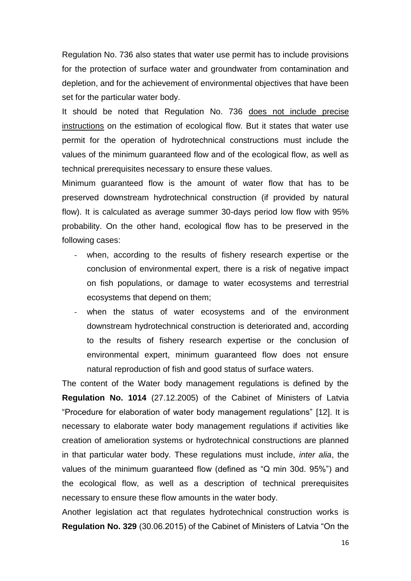Regulation No. 736 also states that water use permit has to include provisions for the protection of surface water and groundwater from contamination and depletion, and for the achievement of environmental objectives that have been set for the particular water body.

It should be noted that Regulation No. 736 does not include precise instructions on the estimation of ecological flow. But it states that water use permit for the operation of hydrotechnical constructions must include the values of the minimum guaranteed flow and of the ecological flow, as well as technical prerequisites necessary to ensure these values.

Minimum guaranteed flow is the amount of water flow that has to be preserved downstream hydrotechnical construction (if provided by natural flow). It is calculated as average summer 30-days period low flow with 95% probability. On the other hand, ecological flow has to be preserved in the following cases:

- when, according to the results of fishery research expertise or the conclusion of environmental expert, there is a risk of negative impact on fish populations, or damage to water ecosystems and terrestrial ecosystems that depend on them;
- when the status of water ecosystems and of the environment downstream hydrotechnical construction is deteriorated and, according to the results of fishery research expertise or the conclusion of environmental expert, minimum guaranteed flow does not ensure natural reproduction of fish and good status of surface waters.

The content of the Water body management regulations is defined by the **Regulation No. 1014** (27.12.2005) of the Cabinet of Ministers of Latvia "Procedure for elaboration of water body management regulations" [12]. It is necessary to elaborate water body management regulations if activities like creation of amelioration systems or hydrotechnical constructions are planned in that particular water body. These regulations must include, *inter alia*, the values of the minimum guaranteed flow (defined as "Q min 30d. 95%") and the ecological flow, as well as a description of technical prerequisites necessary to ensure these flow amounts in the water body.

Another legislation act that regulates hydrotechnical construction works is **Regulation No. 329** (30.06.2015) of the Cabinet of Ministers of Latvia "On the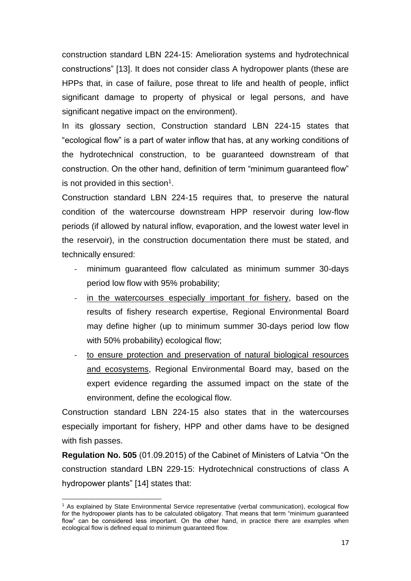construction standard LBN 224-15: Amelioration systems and hydrotechnical constructions" [13]. It does not consider class A hydropower plants (these are HPPs that, in case of failure, pose threat to life and health of people, inflict significant damage to property of physical or legal persons, and have significant negative impact on the environment).

In its glossary section, Construction standard LBN 224-15 states that "ecological flow" is a part of water inflow that has, at any working conditions of the hydrotechnical construction, to be guaranteed downstream of that construction. On the other hand, definition of term "minimum guaranteed flow" is not provided in this section<sup>1</sup>.

Construction standard LBN 224-15 requires that, to preserve the natural condition of the watercourse downstream HPP reservoir during low-flow periods (if allowed by natural inflow, evaporation, and the lowest water level in the reservoir), in the construction documentation there must be stated, and technically ensured:

- minimum quaranteed flow calculated as minimum summer 30-days period low flow with 95% probability;
- in the watercourses especially important for fishery, based on the results of fishery research expertise, Regional Environmental Board may define higher (up to minimum summer 30-days period low flow with 50% probability) ecological flow;
- to ensure protection and preservation of natural biological resources and ecosystems, Regional Environmental Board may, based on the expert evidence regarding the assumed impact on the state of the environment, define the ecological flow.

Construction standard LBN 224-15 also states that in the watercourses especially important for fishery, HPP and other dams have to be designed with fish passes.

**Regulation No. 505** (01.09.2015) of the Cabinet of Ministers of Latvia "On the construction standard LBN 229-15: Hydrotechnical constructions of class A hydropower plants" [14] states that:

 $\overline{a}$ <sup>1</sup> As explained by State Environmental Service representative (verbal communication), ecological flow for the hydropower plants has to be calculated obligatory. That means that term "minimum guaranteed flow" can be considered less important. On the other hand, in practice there are examples when ecological flow is defined equal to minimum guaranteed flow.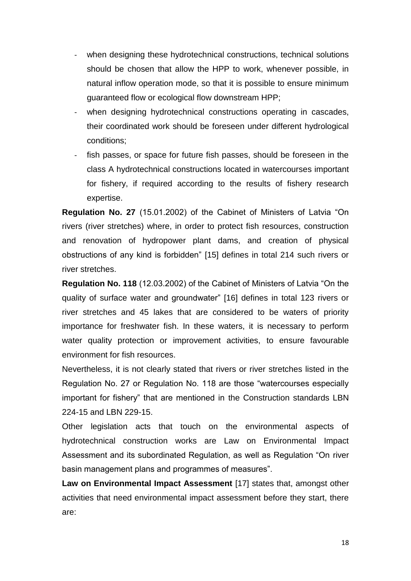- when designing these hydrotechnical constructions, technical solutions should be chosen that allow the HPP to work, whenever possible, in natural inflow operation mode, so that it is possible to ensure minimum guaranteed flow or ecological flow downstream HPP;
- when designing hydrotechnical constructions operating in cascades, their coordinated work should be foreseen under different hydrological conditions;
- fish passes, or space for future fish passes, should be foreseen in the class A hydrotechnical constructions located in watercourses important for fishery, if required according to the results of fishery research expertise.

**Regulation No. 27** (15.01.2002) of the Cabinet of Ministers of Latvia "On rivers (river stretches) where, in order to protect fish resources, construction and renovation of hydropower plant dams, and creation of physical obstructions of any kind is forbidden" [15] defines in total 214 such rivers or river stretches.

**Regulation No. 118** (12.03.2002) of the Cabinet of Ministers of Latvia "On the quality of surface water and groundwater" [16] defines in total 123 rivers or river stretches and 45 lakes that are considered to be waters of priority importance for freshwater fish. In these waters, it is necessary to perform water quality protection or improvement activities, to ensure favourable environment for fish resources.

Nevertheless, it is not clearly stated that rivers or river stretches listed in the Regulation No. 27 or Regulation No. 118 are those "watercourses especially important for fishery" that are mentioned in the Construction standards LBN 224-15 and LBN 229-15.

Other legislation acts that touch on the environmental aspects of hydrotechnical construction works are Law on Environmental Impact Assessment and its subordinated Regulation, as well as Regulation "On river basin management plans and programmes of measures".

**Law on Environmental Impact Assessment** [17] states that, amongst other activities that need environmental impact assessment before they start, there are: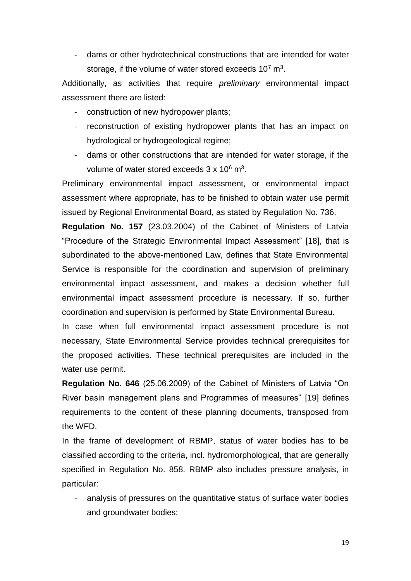- dams or other hydrotechnical constructions that are intended for water storage, if the volume of water stored exceeds  $10^7$  m<sup>3</sup>.

Additionally, as activities that require *preliminary* environmental impact assessment there are listed:

- construction of new hydropower plants;
- reconstruction of existing hydropower plants that has an impact on hydrological or hydrogeological regime;
- dams or other constructions that are intended for water storage, if the volume of water stored exceeds  $3 \times 10^6$  m<sup>3</sup>.

Preliminary environmental impact assessment, or environmental impact assessment where appropriate, has to be finished to obtain water use permit issued by Regional Environmental Board, as stated by Regulation No. 736.

**Regulation No. 157** (23.03.2004) of the Cabinet of Ministers of Latvia "Procedure of the Strategic Environmental Impact Assessment" [18], that is subordinated to the above-mentioned Law, defines that State Environmental Service is responsible for the coordination and supervision of preliminary environmental impact assessment, and makes a decision whether full environmental impact assessment procedure is necessary. If so, further coordination and supervision is performed by State Environmental Bureau.

In case when full environmental impact assessment procedure is not necessary, State Environmental Service provides technical prerequisites for the proposed activities. These technical prerequisites are included in the water use permit.

**Regulation No. 646** (25.06.2009) of the Cabinet of Ministers of Latvia "On River basin management plans and Programmes of measures" [19] defines requirements to the content of these planning documents, transposed from the WFD.

In the frame of development of RBMP, status of water bodies has to be classified according to the criteria, incl. hydromorphological, that are generally specified in Regulation No. 858. RBMP also includes pressure analysis, in particular:

analysis of pressures on the quantitative status of surface water bodies and groundwater bodies;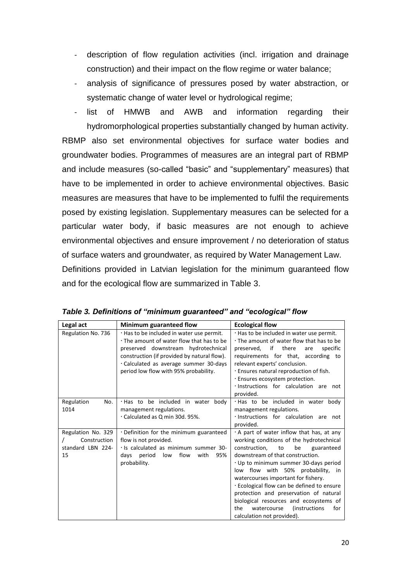- description of flow regulation activities (incl. irrigation and drainage construction) and their impact on the flow regime or water balance;
- analysis of significance of pressures posed by water abstraction, or systematic change of water level or hydrological regime;
- list of HMWB and AWB and information regarding their hydromorphological properties substantially changed by human activity. RBMP also set environmental objectives for surface water bodies and groundwater bodies. Programmes of measures are an integral part of RBMP and include measures (so-called "basic" and "supplementary" measures) that have to be implemented in order to achieve environmental objectives. Basic measures are measures that have to be implemented to fulfil the requirements posed by existing legislation. Supplementary measures can be selected for a particular water body, if basic measures are not enough to achieve environmental objectives and ensure improvement / no deterioration of status of surface waters and groundwater, as required by Water Management Law. Definitions provided in Latvian legislation for the minimum guaranteed flow and for the ecological flow are summarized in Table 3.

| Legal act                                                     | Minimum guaranteed flow                                                                                                                                                                                                                                       | <b>Ecological flow</b>                                                                                                                                                                                                                                                                                                                                                                                                                                                                                                   |
|---------------------------------------------------------------|---------------------------------------------------------------------------------------------------------------------------------------------------------------------------------------------------------------------------------------------------------------|--------------------------------------------------------------------------------------------------------------------------------------------------------------------------------------------------------------------------------------------------------------------------------------------------------------------------------------------------------------------------------------------------------------------------------------------------------------------------------------------------------------------------|
| Regulation No. 736                                            | . Has to be included in water use permit.<br>. The amount of water flow that has to be<br>preserved downstream hydrotechnical<br>construction (if provided by natural flow).<br>Calculated as average summer 30-days<br>period low flow with 95% probability. | . Has to be included in water use permit.<br>. The amount of water flow that has to be<br>if<br>there<br>specific<br>preserved.<br>are<br>requirements for that, according to<br>relevant experts' conclusion.<br>. Ensures natural reproduction of fish.<br>· Ensures ecosystem protection.<br>· Instructions for calculation are not<br>provided.                                                                                                                                                                      |
| Regulation<br>No.<br>1014                                     | . Has to be included in water body<br>management regulations.<br>Calculated as Q min 30d. 95%.                                                                                                                                                                | . Has to be included in water body<br>management regulations.<br>· Instructions for calculation are not<br>provided.                                                                                                                                                                                                                                                                                                                                                                                                     |
| Regulation No. 329<br>Construction<br>standard LBN 224-<br>15 | . Definition for the minimum guaranteed<br>flow is not provided.<br>· Is calculated as minimum summer 30-<br>flow<br>days period<br>low<br>with<br>95%<br>probability.                                                                                        | $\cdot$ A part of water inflow that has, at any<br>working conditions of the hydrotechnical<br>construction.<br>to<br>be<br>guaranteed<br>downstream of that construction.<br>. Up to minimum summer 30-days period<br>low flow with 50% probability,<br>in<br>watercourses important for fishery.<br>. Ecological flow can be defined to ensure<br>protection and preservation of natural<br>biological resources and ecosystems of<br><i>(instructions)</i><br>for<br>the<br>watercourse<br>calculation not provided). |

*Table 3. Definitions of "minimum guaranteed" and "ecological" flow*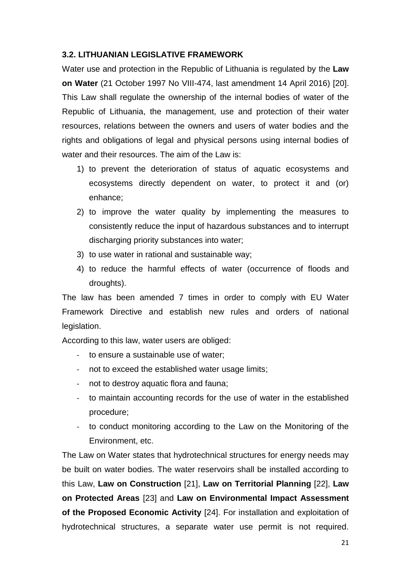#### <span id="page-20-0"></span>**3.2. LITHUANIAN LEGISLATIVE FRAMEWORK**

Water use and protection in the Republic of Lithuania is regulated by the **Law on Water** (21 October 1997 No VIII-474, last amendment 14 April 2016) [20]. This Law shall regulate the ownership of the internal bodies of water of the Republic of Lithuania, the management, use and protection of their water resources, relations between the owners and users of water bodies and the rights and obligations of legal and physical persons using internal bodies of water and their resources. The aim of the Law is:

- 1) to prevent the deterioration of status of aquatic ecosystems and ecosystems directly dependent on water, to protect it and (or) enhance;
- 2) to improve the water quality by implementing the measures to consistently reduce the input of hazardous substances and to interrupt discharging priority substances into water;
- 3) to use water in rational and sustainable way;
- 4) to reduce the harmful effects of water (occurrence of floods and droughts).

The law has been amended 7 times in order to comply with EU Water Framework Directive and establish new rules and orders of national legislation.

According to this law, water users are obliged:

- to ensure a sustainable use of water:
- not to exceed the established water usage limits;
- not to destroy aquatic flora and fauna;
- to maintain accounting records for the use of water in the established procedure;
- to conduct monitoring according to the Law on the Monitoring of the Environment, etc.

The Law on Water states that hydrotechnical structures for energy needs may be built on water bodies. The water reservoirs shall be installed according to this Law, **Law on Construction** [21], **Law on Territorial Planning** [22], **Law on Protected Areas** [23] and **Law on Environmental Impact Assessment of the Proposed Economic Activity** [24]. For installation and exploitation of hydrotechnical structures, a separate water use permit is not required.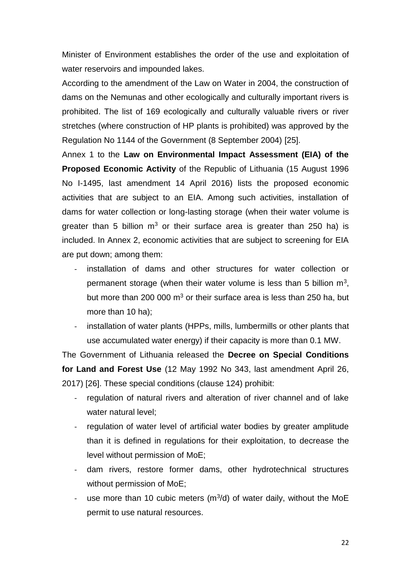Minister of Environment establishes the order of the use and exploitation of water reservoirs and impounded lakes.

According to the amendment of the Law on Water in 2004, the construction of dams on the Nemunas and other ecologically and culturally important rivers is prohibited. The list of 169 ecologically and culturally valuable rivers or river stretches (where construction of HP plants is prohibited) was approved by the Regulation No 1144 of the Government (8 September 2004) [25].

Annex 1 to the **Law on Environmental Impact Assessment (EIA) of the Proposed Economic Activity** of the Republic of Lithuania (15 August 1996 No I-1495, last amendment 14 April 2016) lists the proposed economic activities that are subject to an EIA. Among such activities, installation of dams for water collection or long-lasting storage (when their water volume is greater than 5 billion  $m^3$  or their surface area is greater than 250 ha) is included. In Annex 2, economic activities that are subject to screening for EIA are put down; among them:

- installation of dams and other structures for water collection or permanent storage (when their water volume is less than 5 billion  $m^3$ , but more than 200 000  $m<sup>3</sup>$  or their surface area is less than 250 ha, but more than 10 ha);
- installation of water plants (HPPs, mills, lumbermills or other plants that use accumulated water energy) if their capacity is more than 0.1 MW.

The Government of Lithuania released the **Decree on Special Conditions for Land and Forest Use** (12 May 1992 No 343, last amendment April 26, 2017) [26]. These special conditions (clause 124) prohibit:

- regulation of natural rivers and alteration of river channel and of lake water natural level;
- regulation of water level of artificial water bodies by greater amplitude than it is defined in regulations for their exploitation, to decrease the level without permission of MoE;
- dam rivers, restore former dams, other hydrotechnical structures without permission of MoE;
- use more than 10 cubic meters  $(m^3/d)$  of water daily, without the MoE permit to use natural resources.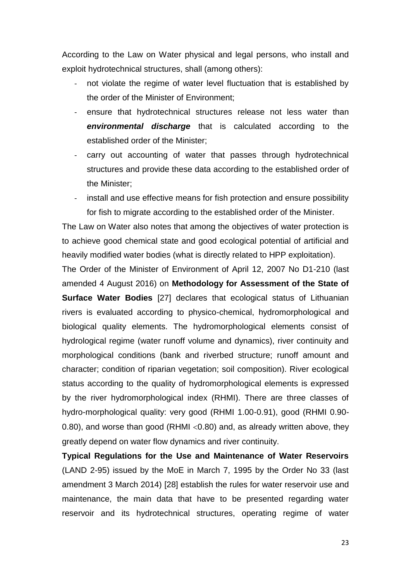According to the Law on Water physical and legal persons, who install and exploit hydrotechnical structures, shall (among others):

- not violate the regime of water level fluctuation that is established by the order of the Minister of Environment;
- ensure that hydrotechnical structures release not less water than *environmental discharge* that is calculated according to the established order of the Minister;
- carry out accounting of water that passes through hydrotechnical structures and provide these data according to the established order of the Minister;
- install and use effective means for fish protection and ensure possibility for fish to migrate according to the established order of the Minister.

The Law on Water also notes that among the objectives of water protection is to achieve good chemical state and good ecological potential of artificial and heavily modified water bodies (what is directly related to HPP exploitation).

The Order of the Minister of Environment of April 12, 2007 No D1-210 (last amended 4 August 2016) on **Methodology for Assessment of the State of Surface Water Bodies** [27] declares that ecological status of Lithuanian rivers is evaluated according to physico-chemical, hydromorphological and biological quality elements. The hydromorphological elements consist of hydrological regime (water runoff volume and dynamics), river continuity and morphological conditions (bank and riverbed structure; runoff amount and character; condition of riparian vegetation; soil composition). River ecological status according to the quality of hydromorphological elements is expressed by the river hydromorphological index (RHMI). There are three classes of hydro-morphological quality: very good (RHMI 1.00-0.91), good (RHMI 0.90- 0.80), and worse than good (RHMI  $\leq$ 0.80) and, as already written above, they greatly depend on water flow dynamics and river continuity.

**Typical Regulations for the Use and Maintenance of Water Reservoirs** (LAND 2-95) issued by the MoE in March 7, 1995 by the Order No 33 (last amendment 3 March 2014) [28] establish the rules for water reservoir use and maintenance, the main data that have to be presented regarding water reservoir and its hydrotechnical structures, operating regime of water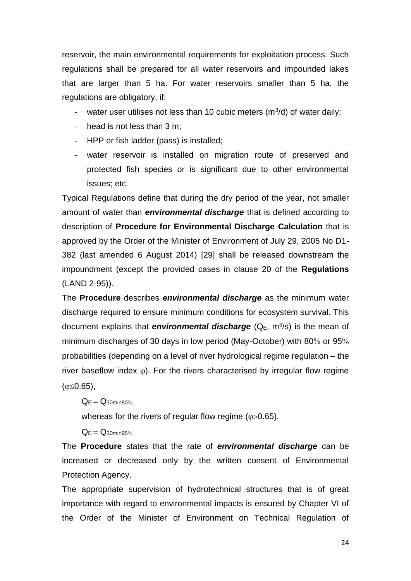reservoir, the main environmental requirements for exploitation process. Such regulations shall be prepared for all water reservoirs and impounded lakes that are larger than 5 ha. For water reservoirs smaller than 5 ha, the regulations are obligatory, if:

- water user utilises not less than 10 cubic meters  $(m^3/d)$  of water daily;
- head is not less than 3 m:
- HPP or fish ladder (pass) is installed;
- water reservoir is installed on migration route of preserved and protected fish species or is significant due to other environmental issues; etc.

Typical Regulations define that during the dry period of the year, not smaller amount of water than *environmental discharge* that is defined according to description of **Procedure for Environmental Discharge Calculation** that is approved by the Order of the Minister of Environment of July 29, 2005 No D1- 382 (last amended 6 August 2014) [29] shall be released downstream the impoundment (except the provided cases in clause 20 of the **Regulations**  (LAND 2-95)).

The **Procedure** describes *environmental discharge* as the minimum water discharge required to ensure minimum conditions for ecosystem survival. This document explains that *environmental discharge* (Q<sub>E</sub>, m<sup>3</sup>/s) is the mean of minimum discharges of 30 days in low period (May-October) with 80% or 95% probabilities (depending on a level of river hydrological regime regulation – the river baseflow index  $\varphi$ ). For the rivers characterised by irregular flow regime  $(\phi \le 0.65)$ ,

 $Q_F = Q_{30}$ min80%

whereas for the rivers of regular flow regime ( $\varphi$ >0.65),

 $Q_F = Q_{30}$ min95%

The **Procedure** states that the rate of *environmental discharge* can be increased or decreased only by the written consent of Environmental Protection Agency.

The appropriate supervision of hydrotechnical structures that is of great importance with regard to environmental impacts is ensured by Chapter VI of the Order of the Minister of Environment on Technical Regulation of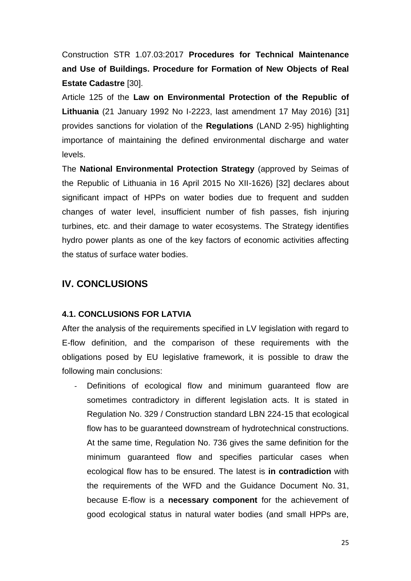Construction STR 1.07.03:2017 **Procedures for Technical Maintenance and Use of Buildings. Procedure for Formation of New Objects of Real Estate Cadastre** [30].

Article 125 of the **Law on Environmental Protection of the Republic of Lithuania** (21 January 1992 No I-2223, last amendment 17 May 2016) [31] provides sanctions for violation of the **Regulations** (LAND 2-95) highlighting importance of maintaining the defined environmental discharge and water levels.

The **National Environmental Protection Strategy** (approved by Seimas of the Republic of Lithuania in 16 April 2015 No XII-1626) [32] declares about significant impact of HPPs on water bodies due to frequent and sudden changes of water level, insufficient number of fish passes, fish injuring turbines, etc. and their damage to water ecosystems. The Strategy identifies hydro power plants as one of the key factors of economic activities affecting the status of surface water bodies.

## <span id="page-24-0"></span>**IV. CONCLUSIONS**

#### <span id="page-24-1"></span>**4.1. CONCLUSIONS FOR LATVIA**

After the analysis of the requirements specified in LV legislation with regard to E-flow definition, and the comparison of these requirements with the obligations posed by EU legislative framework, it is possible to draw the following main conclusions:

Definitions of ecological flow and minimum guaranteed flow are sometimes contradictory in different legislation acts. It is stated in Regulation No. 329 / Construction standard LBN 224-15 that ecological flow has to be guaranteed downstream of hydrotechnical constructions. At the same time, Regulation No. 736 gives the same definition for the minimum guaranteed flow and specifies particular cases when ecological flow has to be ensured. The latest is **in contradiction** with the requirements of the WFD and the Guidance Document No. 31, because E-flow is a **necessary component** for the achievement of good ecological status in natural water bodies (and small HPPs are,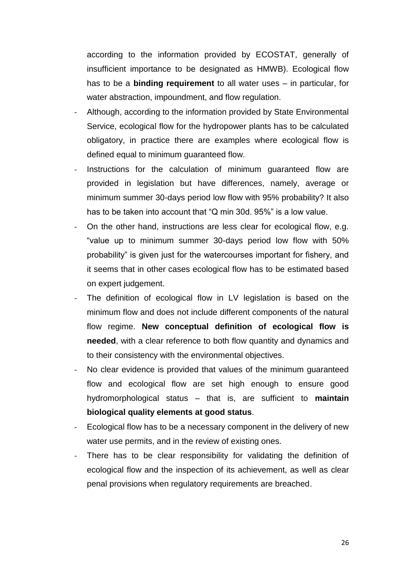according to the information provided by ECOSTAT, generally of insufficient importance to be designated as HMWB). Ecological flow has to be a **binding requirement** to all water uses – in particular, for water abstraction, impoundment, and flow regulation.

- Although, according to the information provided by State Environmental Service, ecological flow for the hydropower plants has to be calculated obligatory, in practice there are examples where ecological flow is defined equal to minimum guaranteed flow.
- Instructions for the calculation of minimum guaranteed flow are provided in legislation but have differences, namely, average or minimum summer 30-days period low flow with 95% probability? It also has to be taken into account that "Q min 30d. 95%" is a low value.
- On the other hand, instructions are less clear for ecological flow, e.g. "value up to minimum summer 30-days period low flow with 50% probability" is given just for the watercourses important for fishery, and it seems that in other cases ecological flow has to be estimated based on expert judgement.
- The definition of ecological flow in LV legislation is based on the minimum flow and does not include different components of the natural flow regime. **New conceptual definition of ecological flow is needed**, with a clear reference to both flow quantity and dynamics and to their consistency with the environmental objectives.
- No clear evidence is provided that values of the minimum guaranteed flow and ecological flow are set high enough to ensure good hydromorphological status – that is, are sufficient to **maintain biological quality elements at good status**.
- Ecological flow has to be a necessary component in the delivery of new water use permits, and in the review of existing ones.
- There has to be clear responsibility for validating the definition of ecological flow and the inspection of its achievement, as well as clear penal provisions when regulatory requirements are breached.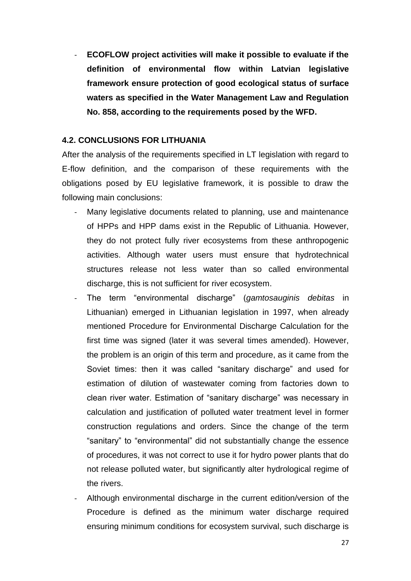- **ECOFLOW project activities will make it possible to evaluate if the definition of environmental flow within Latvian legislative framework ensure protection of good ecological status of surface waters as specified in the Water Management Law and Regulation No. 858, according to the requirements posed by the WFD.**

#### <span id="page-26-0"></span>**4.2. CONCLUSIONS FOR LITHUANIA**

After the analysis of the requirements specified in LT legislation with regard to E-flow definition, and the comparison of these requirements with the obligations posed by EU legislative framework, it is possible to draw the following main conclusions:

- Many legislative documents related to planning, use and maintenance of HPPs and HPP dams exist in the Republic of Lithuania. However, they do not protect fully river ecosystems from these anthropogenic activities. Although water users must ensure that hydrotechnical structures release not less water than so called environmental discharge, this is not sufficient for river ecosystem.
- The term "environmental discharge" (*gamtosauginis debitas* in Lithuanian) emerged in Lithuanian legislation in 1997, when already mentioned Procedure for Environmental Discharge Calculation for the first time was signed (later it was several times amended). However, the problem is an origin of this term and procedure, as it came from the Soviet times: then it was called "sanitary discharge" and used for estimation of dilution of wastewater coming from factories down to clean river water. Estimation of "sanitary discharge" was necessary in calculation and justification of polluted water treatment level in former construction regulations and orders. Since the change of the term "sanitary" to "environmental" did not substantially change the essence of procedures, it was not correct to use it for hydro power plants that do not release polluted water, but significantly alter hydrological regime of the rivers.
- Although environmental discharge in the current edition/version of the Procedure is defined as the minimum water discharge required ensuring minimum conditions for ecosystem survival, such discharge is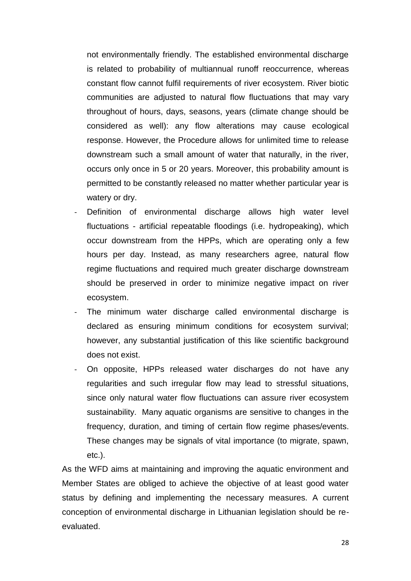not environmentally friendly. The established environmental discharge is related to probability of multiannual runoff reoccurrence, whereas constant flow cannot fulfil requirements of river ecosystem. River biotic communities are adjusted to natural flow fluctuations that may vary throughout of hours, days, seasons, years (climate change should be considered as well): any flow alterations may cause ecological response. However, the Procedure allows for unlimited time to release downstream such a small amount of water that naturally, in the river, occurs only once in 5 or 20 years. Moreover, this probability amount is permitted to be constantly released no matter whether particular year is watery or dry.

- Definition of environmental discharge allows high water level fluctuations - artificial repeatable floodings (i.e. hydropeaking), which occur downstream from the HPPs, which are operating only a few hours per day. Instead, as many researchers agree, natural flow regime fluctuations and required much greater discharge downstream should be preserved in order to minimize negative impact on river ecosystem.
- The minimum water discharge called environmental discharge is declared as ensuring minimum conditions for ecosystem survival; however, any substantial justification of this like scientific background does not exist.
- On opposite, HPPs released water discharges do not have any regularities and such irregular flow may lead to stressful situations, since only natural water flow fluctuations can assure river ecosystem sustainability. Many aquatic organisms are sensitive to changes in the frequency, duration, and timing of certain flow regime phases/events. These changes may be signals of vital importance (to migrate, spawn, etc.).

As the WFD aims at maintaining and improving the aquatic environment and Member States are obliged to achieve the objective of at least good water status by defining and implementing the necessary measures. A current conception of environmental discharge in Lithuanian legislation should be reevaluated.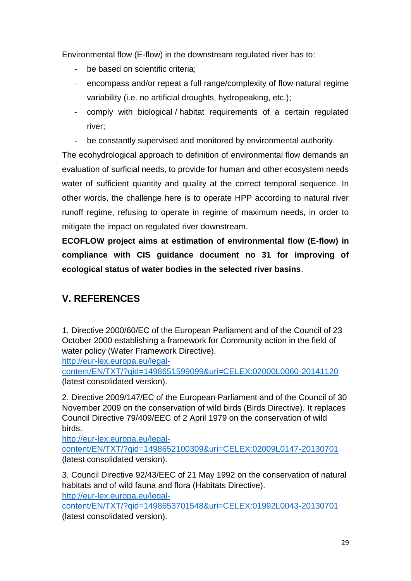Environmental flow (E-flow) in the downstream regulated river has to:

- be based on scientific criteria;
- encompass and/or repeat a full range/complexity of flow natural regime variability (i.e. no artificial droughts, hydropeaking, etc.);
- comply with biological / habitat requirements of a certain regulated river;
- be constantly supervised and monitored by environmental authority.

The ecohydrological approach to definition of environmental flow demands an evaluation of surficial needs, to provide for human and other ecosystem needs water of sufficient quantity and quality at the correct temporal sequence. In other words, the challenge here is to operate HPP according to natural river runoff regime, refusing to operate in regime of maximum needs, in order to mitigate the impact on regulated river downstream.

**ECOFLOW project aims at estimation of environmental flow (E-flow) in compliance with CIS guidance document no 31 for improving of ecological status of water bodies in the selected river basins**.

## <span id="page-28-0"></span>**V. REFERENCES**

1. Directive 2000/60/EC of the European Parliament and of the Council of 23 October 2000 establishing a framework for Community action in the field of water policy (Water Framework Directive).

[http://eur-lex.europa.eu/legal-](http://eur-lex.europa.eu/legal-content/EN/TXT/?qid=1498651599099&uri=CELEX:02000L0060-20141120)

[content/EN/TXT/?qid=1498651599099&uri=CELEX:02000L0060-20141120](http://eur-lex.europa.eu/legal-content/EN/TXT/?qid=1498651599099&uri=CELEX:02000L0060-20141120) (latest consolidated version).

2. Directive 2009/147/EC of the European Parliament and of the Council of 30 November 2009 on the conservation of wild birds (Birds Directive). It replaces Council Directive 79/409/EEC of 2 April 1979 on the conservation of wild birds.

[http://eur-lex.europa.eu/legal](http://eur-lex.europa.eu/legal-content/EN/TXT/?qid=1498652100309&uri=CELEX:02009L0147-20130701)[content/EN/TXT/?qid=1498652100309&uri=CELEX:02009L0147-20130701](http://eur-lex.europa.eu/legal-content/EN/TXT/?qid=1498652100309&uri=CELEX:02009L0147-20130701) (latest consolidated version).

3. Council Directive 92/43/EEC of 21 May 1992 on the conservation of natural habitats and of wild fauna and flora (Habitats Directive).

[http://eur-lex.europa.eu/legal-](http://eur-lex.europa.eu/legal-content/EN/TXT/?qid=1498653701548&uri=CELEX:01992L0043-20130701)

[content/EN/TXT/?qid=1498653701548&uri=CELEX:01992L0043-20130701](http://eur-lex.europa.eu/legal-content/EN/TXT/?qid=1498653701548&uri=CELEX:01992L0043-20130701) (latest consolidated version).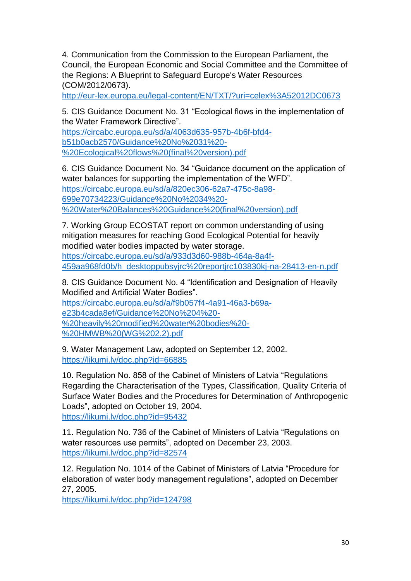4. Communication from the Commission to the European Parliament, the Council, the European Economic and Social Committee and the Committee of the Regions: A Blueprint to Safeguard Europe's Water Resources (COM/2012/0673).

<http://eur-lex.europa.eu/legal-content/EN/TXT/?uri=celex%3A52012DC0673>

5. CIS Guidance Document No. 31 "Ecological flows in the implementation of the Water Framework Directive".

[https://circabc.europa.eu/sd/a/4063d635-957b-4b6f-bfd4](https://circabc.europa.eu/sd/a/4063d635-957b-4b6f-bfd4-b51b0acb2570/Guidance%20No%2031%20-%20Ecological%20flows%20(final%20version).pdf) [b51b0acb2570/Guidance%20No%2031%20-](https://circabc.europa.eu/sd/a/4063d635-957b-4b6f-bfd4-b51b0acb2570/Guidance%20No%2031%20-%20Ecological%20flows%20(final%20version).pdf) [%20Ecological%20flows%20\(final%20version\).pdf](https://circabc.europa.eu/sd/a/4063d635-957b-4b6f-bfd4-b51b0acb2570/Guidance%20No%2031%20-%20Ecological%20flows%20(final%20version).pdf)

6. CIS Guidance Document No. 34 "Guidance document on the application of water balances for supporting the implementation of the WFD". [https://circabc.europa.eu/sd/a/820ec306-62a7-475c-8a98-](https://circabc.europa.eu/sd/a/820ec306-62a7-475c-8a98-699e70734223/Guidance%20No%2034%20-%20Water%20Balances%20Guidance%20(final%20version).pdf) [699e70734223/Guidance%20No%2034%20-](https://circabc.europa.eu/sd/a/820ec306-62a7-475c-8a98-699e70734223/Guidance%20No%2034%20-%20Water%20Balances%20Guidance%20(final%20version).pdf) [%20Water%20Balances%20Guidance%20\(final%20version\).pdf](https://circabc.europa.eu/sd/a/820ec306-62a7-475c-8a98-699e70734223/Guidance%20No%2034%20-%20Water%20Balances%20Guidance%20(final%20version).pdf)

7. Working Group ECOSTAT report on common understanding of using mitigation measures for reaching Good Ecological Potential for heavily modified water bodies impacted by water storage. [https://circabc.europa.eu/sd/a/933d3d60-988b-464a-8a4f-](https://circabc.europa.eu/sd/a/933d3d60-988b-464a-8a4f-459aa968fd0b/h_desktoppubsyjrc%20reportjrc103830kj-na-28413-en-n.pdf)[459aa968fd0b/h\\_desktoppubsyjrc%20reportjrc103830kj-na-28413-en-n.pdf](https://circabc.europa.eu/sd/a/933d3d60-988b-464a-8a4f-459aa968fd0b/h_desktoppubsyjrc%20reportjrc103830kj-na-28413-en-n.pdf)

8. CIS Guidance Document No. 4 "Identification and Designation of Heavily Modified and Artificial Water Bodies".

[https://circabc.europa.eu/sd/a/f9b057f4-4a91-46a3-b69a](https://circabc.europa.eu/sd/a/f9b057f4-4a91-46a3-b69a-e23b4cada8ef/Guidance%20No%204%20-%20heavily%20modified%20water%20bodies%20-%20HMWB%20(WG%202.2).pdf)[e23b4cada8ef/Guidance%20No%204%20-](https://circabc.europa.eu/sd/a/f9b057f4-4a91-46a3-b69a-e23b4cada8ef/Guidance%20No%204%20-%20heavily%20modified%20water%20bodies%20-%20HMWB%20(WG%202.2).pdf) [%20heavily%20modified%20water%20bodies%20-](https://circabc.europa.eu/sd/a/f9b057f4-4a91-46a3-b69a-e23b4cada8ef/Guidance%20No%204%20-%20heavily%20modified%20water%20bodies%20-%20HMWB%20(WG%202.2).pdf) [%20HMWB%20\(WG%202.2\).pdf](https://circabc.europa.eu/sd/a/f9b057f4-4a91-46a3-b69a-e23b4cada8ef/Guidance%20No%204%20-%20heavily%20modified%20water%20bodies%20-%20HMWB%20(WG%202.2).pdf)

9. Water Management Law, adopted on September 12, 2002. <https://likumi.lv/doc.php?id=66885>

10. Regulation No. 858 of the Cabinet of Ministers of Latvia "Regulations Regarding the Characterisation of the Types, Classification, Quality Criteria of Surface Water Bodies and the Procedures for Determination of Anthropogenic Loads", adopted on October 19, 2004. <https://likumi.lv/doc.php?id=95432>

11. Regulation No. 736 of the Cabinet of Ministers of Latvia "Regulations on water resources use permits", adopted on December 23, 2003. <https://likumi.lv/doc.php?id=82574>

12. Regulation No. 1014 of the Cabinet of Ministers of Latvia "Procedure for elaboration of water body management regulations", adopted on December 27, 2005.

<https://likumi.lv/doc.php?id=124798>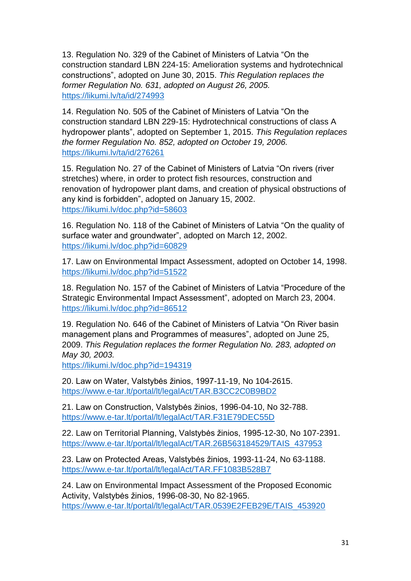13. Regulation No. 329 of the Cabinet of Ministers of Latvia "On the construction standard LBN 224-15: Amelioration systems and hydrotechnical constructions", adopted on June 30, 2015. *This Regulation replaces the former Regulation No. 631, adopted on August 26, 2005.* <https://likumi.lv/ta/id/274993>

14. Regulation No. 505 of the Cabinet of Ministers of Latvia "On the construction standard LBN 229-15: Hydrotechnical constructions of class A hydropower plants", adopted on September 1, 2015. *This Regulation replaces the former Regulation No. 852, adopted on October 19, 2006.* <https://likumi.lv/ta/id/276261>

15. Regulation No. 27 of the Cabinet of Ministers of Latvia "On rivers (river stretches) where, in order to protect fish resources, construction and renovation of hydropower plant dams, and creation of physical obstructions of any kind is forbidden", adopted on January 15, 2002. <https://likumi.lv/doc.php?id=58603>

16. Regulation No. 118 of the Cabinet of Ministers of Latvia "On the quality of surface water and groundwater", adopted on March 12, 2002. <https://likumi.lv/doc.php?id=60829>

17. Law on Environmental Impact Assessment, adopted on October 14, 1998. <https://likumi.lv/doc.php?id=51522>

18. Regulation No. 157 of the Cabinet of Ministers of Latvia "Procedure of the Strategic Environmental Impact Assessment", adopted on March 23, 2004. <https://likumi.lv/doc.php?id=86512>

19. Regulation No. 646 of the Cabinet of Ministers of Latvia "On River basin management plans and Programmes of measures", adopted on June 25, 2009. *This Regulation replaces the former Regulation No. 283, adopted on May 30, 2003.*

<https://likumi.lv/doc.php?id=194319>

20. Law on Water, Valstybės žinios, 1997-11-19, No 104-2615. <https://www.e-tar.lt/portal/lt/legalAct/TAR.B3CC2C0B9BD2>

21. Law on Construction, Valstybės žinios, 1996-04-10, No 32-788. <https://www.e-tar.lt/portal/lt/legalAct/TAR.F31E79DEC55D>

22. Law on Territorial Planning, Valstybės žinios, 1995-12-30, No 107-2391. [https://www.e-tar.lt/portal/lt/legalAct/TAR.26B563184529/TAIS\\_437953](https://www.e-tar.lt/portal/lt/legalAct/TAR.26B563184529/TAIS_437953)

23. Law on Protected Areas, Valstybės žinios, 1993-11-24, No 63-1188. <https://www.e-tar.lt/portal/lt/legalAct/TAR.FF1083B528B7>

24. Law on Environmental Impact Assessment of the Proposed Economic Activity, Valstybės žinios, 1996-08-30, No 82-1965. [https://www.e-tar.lt/portal/lt/legalAct/TAR.0539E2FEB29E/TAIS\\_453920](https://www.e-tar.lt/portal/lt/legalAct/TAR.0539E2FEB29E/TAIS_453920)